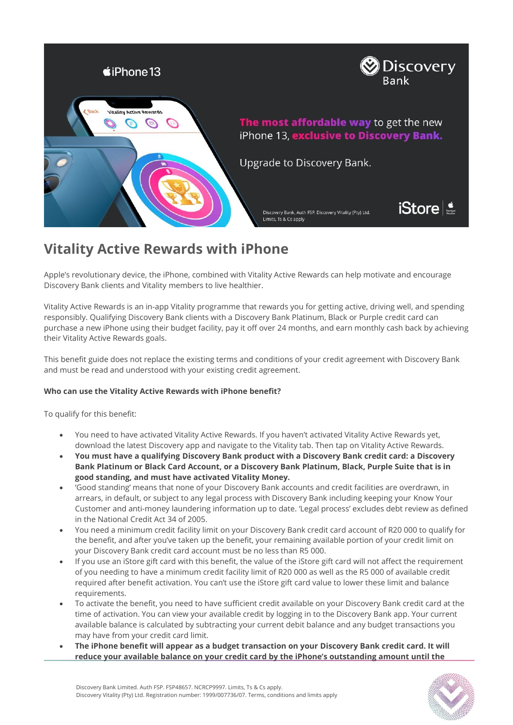

# **Vitality Active Rewards with iPhone**

Apple's revolutionary device, the iPhone, combined with Vitality Active Rewards can help motivate and encourage Discovery Bank clients and Vitality members to live healthier.

Vitality Active Rewards is an in-app Vitality programme that rewards you for getting active, driving well, and spending responsibly. Qualifying Discovery Bank clients with a Discovery Bank Platinum, Black or Purple credit card can purchase a new iPhone using their budget facility, pay it off over 24 months, and earn monthly cash back by achieving their Vitality Active Rewards goals.

This benefit guide does not replace the existing terms and conditions of your credit agreement with Discovery Bank and must be read and understood with your existing credit agreement.

## **Who can use the Vitality Active Rewards with iPhone benefit?**

To qualify for this benefit:

- You need to have activated Vitality Active Rewards. If you haven't activated Vitality Active Rewards yet, download the latest Discovery app and navigate to the Vitality tab. Then tap on Vitality Active Rewards.
- **You must have a qualifying Discovery Bank product with a Discovery Bank credit card: a Discovery Bank Platinum or Black Card Account, or a Discovery Bank Platinum, Black, Purple Suite that is in good standing, and must have activated Vitality Money.**
- 'Good standing' means that none of your Discovery Bank accounts and credit facilities are overdrawn, in arrears, in default, or subject to any legal process with Discovery Bank including keeping your Know Your Customer and anti-money laundering information up to date. 'Legal process' excludes debt review as defined in the National Credit Act 34 of 2005.
- You need a minimum credit facility limit on your Discovery Bank credit card account of R20 000 to qualify for the benefit, and after you've taken up the benefit, your remaining available portion of your credit limit on your Discovery Bank credit card account must be no less than R5 000.
- If you use an iStore gift card with this benefit, the value of the iStore gift card will not affect the requirement of you needing to have a minimum credit facility limit of R20 000 as well as the R5 000 of available credit required after benefit activation. You can't use the iStore gift card value to lower these limit and balance requirements.
- To activate the benefit, you need to have sufficient credit available on your Discovery Bank credit card at the time of activation. You can view your available credit by logging in to the Discovery Bank app. Your current available balance is calculated by subtracting your current debit balance and any budget transactions you may have from your credit card limit.
- **The iPhone benefit will appear as a budget transaction on your Discovery Bank credit card. It will reduce your available balance on your credit card by the iPhone's outstanding amount until the**

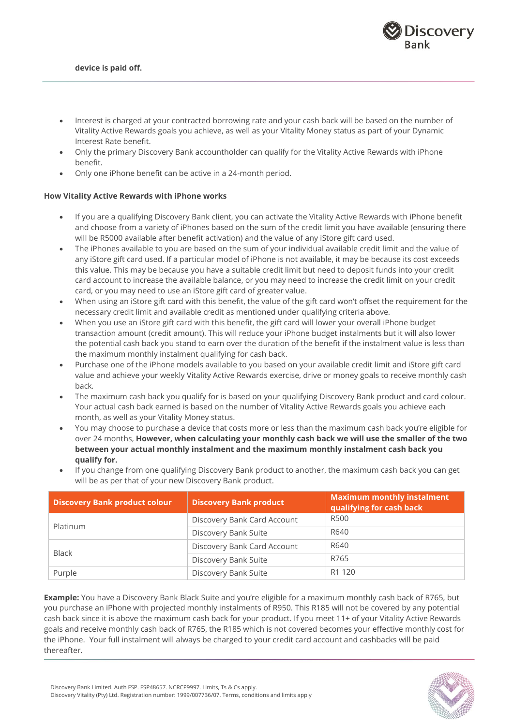

- Interest is charged at your contracted borrowing rate and your cash back will be based on the number of Vitality Active Rewards goals you achieve, as well as your Vitality Money status as part of your Dynamic Interest Rate benefit.
- Only the primary Discovery Bank accountholder can qualify for the Vitality Active Rewards with iPhone benefit.
- Only one iPhone benefit can be active in a 24-month period.

#### **How Vitality Active Rewards with iPhone works**

- If you are a qualifying Discovery Bank client, you can activate the Vitality Active Rewards with iPhone benefit and choose from a variety of iPhones based on the sum of the credit limit you have available (ensuring there will be R5000 available after benefit activation) and the value of any iStore gift card used.
- The iPhones available to you are based on the sum of your individual available credit limit and the value of any iStore gift card used. If a particular model of iPhone is not available, it may be because its cost exceeds this value. This may be because you have a suitable credit limit but need to deposit funds into your credit card account to increase the available balance, or you may need to increase the credit limit on your credit card, or you may need to use an iStore gift card of greater value.
- When using an iStore gift card with this benefit, the value of the gift card won't offset the requirement for the necessary credit limit and available credit as mentioned under qualifying criteria above.
- When you use an iStore gift card with this benefit, the gift card will lower your overall iPhone budget transaction amount (credit amount). This will reduce your iPhone budget instalments but it will also lower the potential cash back you stand to earn over the duration of the benefit if the instalment value is less than the maximum monthly instalment qualifying for cash back.
- Purchase one of the iPhone models available to you based on your available credit limit and iStore gift card value and achieve your weekly Vitality Active Rewards exercise, drive or money goals to receive monthly cash back*.*
- The maximum cash back you qualify for is based on your qualifying Discovery Bank product and card colour. Your actual cash back earned is based on the number of Vitality Active Rewards goals you achieve each month, as well as your Vitality Money status.
- You may choose to purchase a device that costs more or less than the maximum cash back you're eligible for over 24 months, **However, when calculating your monthly cash back we will use the smaller of the two between your actual monthly instalment and the maximum monthly instalment cash back you qualify for.**

| <b>Discovery Bank product colour</b> | <b>Discovery Bank product</b> | <b>Maximum monthly instalment</b><br>qualifying for cash back |
|--------------------------------------|-------------------------------|---------------------------------------------------------------|
|                                      | Discovery Bank Card Account   | R500                                                          |
| Platinum                             | Discovery Bank Suite          | R640                                                          |
|                                      | Discovery Bank Card Account   | R640                                                          |
| <b>Black</b>                         | Discovery Bank Suite          | R765                                                          |
| Purple                               | Discovery Bank Suite          | R <sub>1</sub> 120                                            |

• If you change from one qualifying Discovery Bank product to another, the maximum cash back you can get will be as per that of your new Discovery Bank product.

**Example:** You have a Discovery Bank Black Suite and you're eligible for a maximum monthly cash back of R765, but you purchase an iPhone with projected monthly instalments of R950. This R185 will not be covered by any potential cash back since it is above the maximum cash back for your product. If you meet 11+ of your Vitality Active Rewards goals and receive monthly cash back of R765, the R185 which is not covered becomes your effective monthly cost for the iPhone. Your full instalment will always be charged to your credit card account and cashbacks will be paid thereafter.

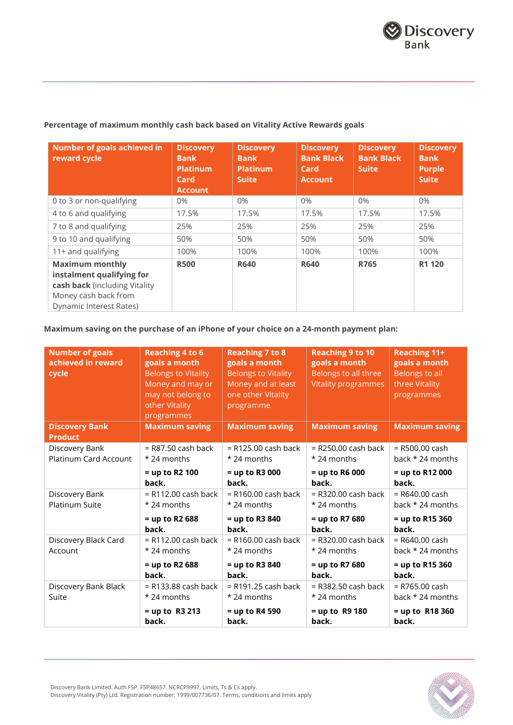# **Percentage of maximum monthly cash back based on Vitality Active Rewards goals**

| Number of goals achieved in<br>reward cycle                                                                                             | <b>Discovery</b><br><b>Bank</b><br><b>Platinum</b><br>Card<br><b>Account</b> | <b>Discovery</b><br><b>Bank</b><br><b>Platinum</b><br><b>Suite</b> | <b>Discovery</b><br><b>Bank Black</b><br>Card<br><b>Account</b> | <b>Discovery</b><br><b>Bank Black</b><br><b>Suite</b> | <b>Discovery</b><br><b>Bank</b><br><b>Purple</b><br><b>Suite</b> |
|-----------------------------------------------------------------------------------------------------------------------------------------|------------------------------------------------------------------------------|--------------------------------------------------------------------|-----------------------------------------------------------------|-------------------------------------------------------|------------------------------------------------------------------|
| 0 to 3 or non-qualifying                                                                                                                | $0\%$                                                                        | $0\%$                                                              | $0\%$                                                           | $0\%$                                                 | $0\%$                                                            |
| 4 to 6 and qualifying                                                                                                                   | 17.5%                                                                        | 17.5%                                                              | 17.5%                                                           | 17.5%                                                 | 17.5%                                                            |
| 7 to 8 and qualifying                                                                                                                   | 25%                                                                          | 25%                                                                | 25%                                                             | 25%                                                   | 25%                                                              |
| 9 to 10 and qualifying                                                                                                                  | 50%                                                                          | 50%                                                                | 50%                                                             | 50%                                                   | 50%                                                              |
| 11+ and qualifying                                                                                                                      | 100%                                                                         | 100%                                                               | 100%                                                            | 100%                                                  | 100%                                                             |
| <b>Maximum monthly</b><br>instalment qualifying for<br>cash back (including Vitality<br>Money cash back from<br>Dynamic Interest Rates) | <b>R500</b>                                                                  | <b>R640</b>                                                        | <b>R640</b>                                                     | R765                                                  | R1 120                                                           |

# **Maximum saving on the purchase of an iPhone of your choice on a 24-month payment plan:**

| <b>Number of goals</b><br>achieved in reward<br>cycle | <b>Reaching 4 to 6</b><br>goals a month<br><b>Belongs to Vitality</b><br>Money and may or<br>may not belong to<br>other Vitality<br>programmes | <b>Reaching 7 to 8</b><br>goals a month<br><b>Belongs to Vitality</b><br>Money and at least<br>one other Vitality<br>programme | <b>Reaching 9 to 10</b><br>goals a month<br>Belongs to all three<br><b>Vitality programmes</b> | Reaching 11+<br>goals a month<br><b>Belongs to all</b><br>three Vitality<br>programmes |
|-------------------------------------------------------|------------------------------------------------------------------------------------------------------------------------------------------------|--------------------------------------------------------------------------------------------------------------------------------|------------------------------------------------------------------------------------------------|----------------------------------------------------------------------------------------|
| <b>Discovery Bank</b><br><b>Product</b>               | <b>Maximum saving</b>                                                                                                                          | <b>Maximum saving</b>                                                                                                          | <b>Maximum saving</b>                                                                          | <b>Maximum saving</b>                                                                  |
| Discovery Bank<br><b>Platinum Card Account</b>        | $=$ R87.50 cash back<br>* 24 months<br>$=$ up to R2 100<br>back.                                                                               | $=$ R125.00 cash back<br>* 24 months<br>$=$ up to R3 000<br>back.                                                              | $=$ R250.00 cash back<br>* 24 months<br>$=$ up to R6 000<br>back.                              | $=$ R500.00 cash<br>back * 24 months<br>$=$ up to R12 000<br>back.                     |
| Discovery Bank<br>Platinum Suite                      | $=$ R112.00 cash back<br>* 24 months<br>= up to R2 688<br>back.                                                                                | $=$ R160.00 cash back<br>$*$ 24 months<br>= up to R3 840<br>back.                                                              | $=$ R320.00 cash back<br>* 24 months<br>= up to R7 680<br>back.                                | $=$ R640.00 cash<br>back $*$ 24 months<br>$=$ up to R15 360<br>back.                   |
| Discovery Black Card<br>Account                       | $=$ R112.00 cash back<br>* 24 months<br>= up to R2 688<br>back.                                                                                | $=$ R160.00 cash back<br>* 24 months<br>= up to R3 840<br>back.                                                                | $=$ R320.00 cash back<br>* 24 months<br>= up to R7 680<br>back.                                | $=$ R640.00 cash<br>back $*$ 24 months<br>$=$ up to R15 360<br>back.                   |
| Discovery Bank Black<br>Suite                         | $=$ R133.88 cash back<br>* 24 months<br>$=$ up to R3 213<br>back.                                                                              | $=$ R191.25 cash back<br>* 24 months<br>$=$ up to R4 590<br>back.                                                              | $=$ R382.50 cash back<br>* 24 months<br>$=$ up to R9 180<br>back.                              | $=$ R765.00 cash<br>back * 24 months<br>$=$ up to R18 360<br>back.                     |

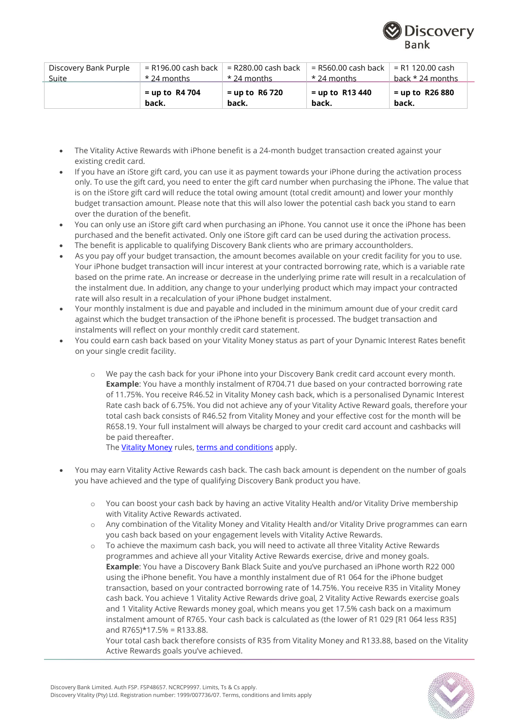

| Discovery Bank Purple | $=$ R196.00 cash back $\parallel$ | = R280.00 cash back       | = R560.00 cash back        | . = R1 120.00 cash         |
|-----------------------|-----------------------------------|---------------------------|----------------------------|----------------------------|
| Suite                 | $\cdot$ * 24 months               | $\star$ 24 months         | * 24 months                | back * 24 months           |
|                       | $=$ up to R4 704<br>back.         | $=$ up to R6 720<br>back. | $=$ up to R13 440<br>back. | $=$ up to R26 880<br>back. |

- The Vitality Active Rewards with iPhone benefit is a 24-month budget transaction created against your existing credit card.
- If you have an iStore gift card, you can use it as payment towards your iPhone during the activation process only. To use the gift card, you need to enter the gift card number when purchasing the iPhone. The value that is on the iStore gift card will reduce the total owing amount (total credit amount) and lower your monthly budget transaction amount. Please note that this will also lower the potential cash back you stand to earn over the duration of the benefit.
- You can only use an iStore gift card when purchasing an iPhone. You cannot use it once the iPhone has been purchased and the benefit activated. Only one iStore gift card can be used during the activation process.
- The benefit is applicable to qualifying Discovery Bank clients who are primary accountholders.
- As you pay off your budget transaction, the amount becomes available on your credit facility for you to use. Your iPhone budget transaction will incur interest at your contracted borrowing rate, which is a variable rate based on the prime rate. An increase or decrease in the underlying prime rate will result in a recalculation of the instalment due. In addition, any change to your underlying product which may impact your contracted rate will also result in a recalculation of your iPhone budget instalment.
- Your monthly instalment is due and payable and included in the minimum amount due of your credit card against which the budget transaction of the iPhone benefit is processed. The budget transaction and instalments will reflect on your monthly credit card statement.
- You could earn cash back based on your Vitality Money status as part of your Dynamic Interest Rates benefit on your single credit facility.
	- o We pay the cash back for your iPhone into your Discovery Bank credit card account every month. **Example**: You have a monthly instalment of R704.71 due based on your contracted borrowing rate of 11.75%. You receive R46.52 in Vitality Money cash back, which is a personalised Dynamic Interest Rate cash back of 6.75%. You did not achieve any of your Vitality Active Reward goals, therefore your total cash back consists of R46.52 from Vitality Money and your effective cost for the month will be R658.19. Your full instalment will always be charged to your credit card account and cashbacks will be paid thereafter.

The [Vitality Money](https://www.discovery.co.za/assets/discoverycoza/bank/legal/vitality-money-terms-and-conditions.pdf) rules[, terms and conditions](https://www.discovery.co.za/assets/template-resources/vitality/vitality-main-rules-bank-only-2019.pdf) apply.

- You may earn Vitality Active Rewards cash back. The cash back amount is dependent on the number of goals you have achieved and the type of qualifying Discovery Bank product you have.
	- o You can boost your cash back by having an active Vitality Health and/or Vitality Drive membership with Vitality Active Rewards activated.
	- o Any combination of the Vitality Money and Vitality Health and/or Vitality Drive programmes can earn you cash back based on your engagement levels with Vitality Active Rewards.
	- o To achieve the maximum cash back, you will need to activate all three Vitality Active Rewards programmes and achieve all your Vitality Active Rewards exercise, drive and money goals. **Example**: You have a Discovery Bank Black Suite and you've purchased an iPhone worth R22 000 using the iPhone benefit. You have a monthly instalment due of R1 064 for the iPhone budget transaction, based on your contracted borrowing rate of 14.75%. You receive R35 in Vitality Money cash back. You achieve 1 Vitality Active Rewards drive goal, 2 Vitality Active Rewards exercise goals and 1 Vitality Active Rewards money goal, which means you get 17.5% cash back on a maximum instalment amount of R765. Your cash back is calculated as (the lower of R1 029 [R1 064 less R35] and  $R765$ <sup>\*</sup>17.5% = R133.88.

Your total cash back therefore consists of R35 from Vitality Money and R133.88, based on the Vitality Active Rewards goals you've achieved.

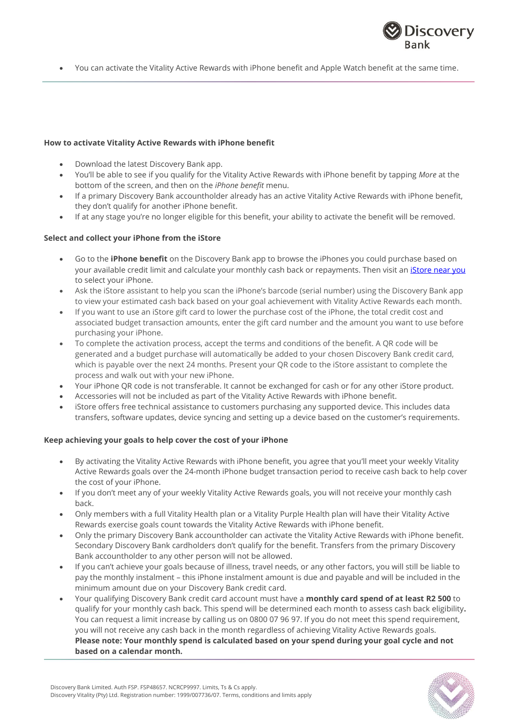

• You can activate the Vitality Active Rewards with iPhone benefit and Apple Watch benefit at the same time.

#### **How to activate Vitality Active Rewards with iPhone benefit**

- Download the latest Discovery Bank app.
- You'll be able to see if you qualify for the Vitality Active Rewards with iPhone benefit by tapping *More* at the bottom of the screen, and then on the *iPhone benefit* menu.
- If a primary Discovery Bank accountholder already has an active Vitality Active Rewards with iPhone benefit, they don't qualify for another iPhone benefit.
- If at any stage you're no longer eligible for this benefit, your ability to activate the benefit will be removed.

#### **Select and collect your iPhone from the iStore**

- Go to the **iPhone benefit** on the Discovery Bank app to browse the iPhones you could purchase based on your available credit limit and calculate your monthly cash back or repayments. Then visit an [iStore near you](https://www.myistore.co.za/storelocator) to select your iPhone.
- Ask the iStore assistant to help you scan the iPhone's barcode (serial number) using the Discovery Bank app to view your estimated cash back based on your goal achievement with Vitality Active Rewards each month.
- If you want to use an iStore gift card to lower the purchase cost of the iPhone, the total credit cost and associated budget transaction amounts, enter the gift card number and the amount you want to use before purchasing your iPhone.
- To complete the activation process, accept the terms and conditions of the benefit. A QR code will be generated and a budget purchase will automatically be added to your chosen Discovery Bank credit card, which is payable over the next 24 months. Present your QR code to the iStore assistant to complete the process and walk out with your new iPhone.
- Your iPhone QR code is not transferable. It cannot be exchanged for cash or for any other iStore product.
- Accessories will not be included as part of the Vitality Active Rewards with iPhone benefit.
- iStore offers free technical assistance to customers purchasing any supported device. This includes data transfers, software updates, device syncing and setting up a device based on the customer's requirements.

#### **Keep achieving your goals to help cover the cost of your iPhone**

- By activating the Vitality Active Rewards with iPhone benefit, you agree that you'll meet your weekly Vitality Active Rewards goals over the 24-month iPhone budget transaction period to receive cash back to help cover the cost of your iPhone.
- If you don't meet any of your weekly Vitality Active Rewards goals, you will not receive your monthly cash back.
- Only members with a full Vitality Health plan or a Vitality Purple Health plan will have their Vitality Active Rewards exercise goals count towards the Vitality Active Rewards with iPhone benefit.
- Only the primary Discovery Bank accountholder can activate the Vitality Active Rewards with iPhone benefit. Secondary Discovery Bank cardholders don't qualify for the benefit. Transfers from the primary Discovery Bank accountholder to any other person will not be allowed.
- If you can't achieve your goals because of illness, travel needs, or any other factors, you will still be liable to pay the monthly instalment – this iPhone instalment amount is due and payable and will be included in the minimum amount due on your Discovery Bank credit card.
- Your qualifying Discovery Bank credit card account must have a **monthly card spend of at least R2 500** to qualify for your monthly cash back. This spend will be determined each month to assess cash back eligibility**.**  You can request a limit increase by calling us on 0800 07 96 97. If you do not meet this spend requirement, you will not receive any cash back in the month regardless of achieving Vitality Active Rewards goals. **Please note: Your monthly spend is calculated based on your spend during your goal cycle and not based on a calendar month.**

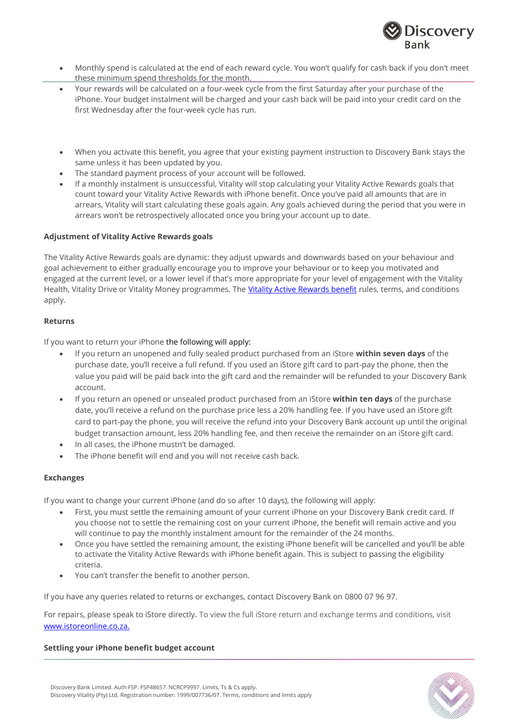

- Monthly spend is calculated at the end of each reward cycle. You won't qualify for cash back if you don't meet these minimum spend thresholds for the month.
- Your rewards will be calculated on a four-week cycle from the first Saturday after your purchase of the iPhone. Your budget instalment will be charged and your cash back will be paid into your credit card on the first Wednesday after the four-week cycle has run.
- When you activate this benefit, you agree that your existing payment instruction to Discovery Bank stays the same unless it has been updated by you.
- The standard payment process of your account will be followed.
- If a monthly instalment is unsuccessful, Vitality will stop calculating your Vitality Active Rewards goals that count toward your Vitality Active Rewards with iPhone benefit. Once you've paid all amounts that are in arrears, Vitality will start calculating these goals again. Any goals achieved during the period that you were in arrears won't be retrospectively allocated once you bring your account up to date.

## **Adjustment of Vitality Active Rewards goals**

The Vitality Active Rewards goals are dynamic: they adjust upwards and downwards based on your behaviour and goal achievement to either gradually encourage you to improve your behaviour or to keep you motivated and engaged at the current level, or a lower level if that's more appropriate for your level of engagement with the Vitality Health, Vitality Drive or Vitality Money programmes. The [Vitality Active Rewards benefit](https://www.discovery.co.za/discovery_coza/web/linked_content/pdfs/vitality/benefit_rules/vitality_active_rewards_benefit_guide.pdf) rules, terms, and conditions apply.

#### **Returns**

If you want to return your iPhone the following will apply:

- If you return an unopened and fully sealed product purchased from an iStore **within seven days** of the purchase date, you'll receive a full refund. If you used an iStore gift card to part-pay the phone, then the value you paid will be paid back into the gift card and the remainder will be refunded to your Discovery Bank account.
- If you return an opened or unsealed product purchased from an iStore **within ten days** of the purchase date, you'll receive a refund on the purchase price less a 20% handling fee. If you have used an iStore gift card to part-pay the phone, you will receive the refund into your Discovery Bank account up until the original budget transaction amount, less 20% handling fee, and then receive the remainder on an iStore gift card.
- In all cases, the iPhone mustn't be damaged.
- The iPhone benefit will end and you will not receive cash back.

## **Exchanges**

If you want to change your current iPhone (and do so after 10 days), the following will apply:

- First, you must settle the remaining amount of your current iPhone on your Discovery Bank credit card. If you choose not to settle the remaining cost on your current iPhone, the benefit will remain active and you will continue to pay the monthly instalment amount for the remainder of the 24 months.
- Once you have settled the remaining amount, the existing iPhone benefit will be cancelled and you'll be able to activate the Vitality Active Rewards with iPhone benefit again. This is subject to passing the eligibility criteria.
- You can't transfer the benefit to another person.

If you have any queries related to returns or exchanges, contact Discovery Bank on 0800 07 96 97.

For repairs, please speak to iStore directly. To view the full iStore return and exchange terms and conditions, visit [www.istoreonline.co.za.](http://www.istoreonline.co.za/)

#### **Settling your iPhone benefit budget account**

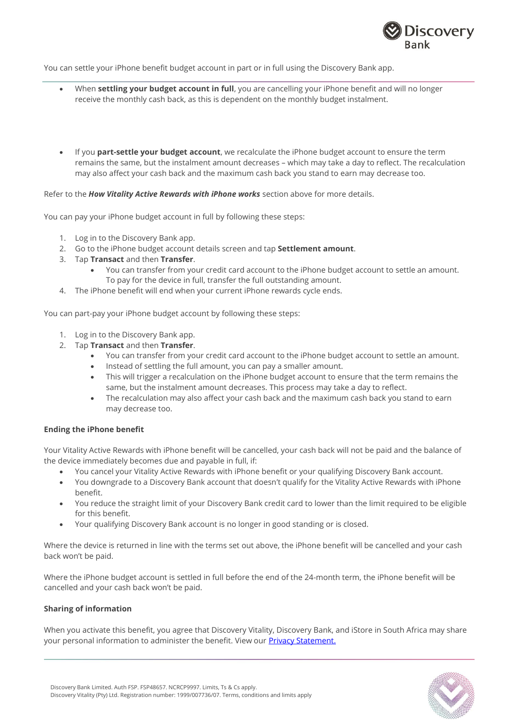

You can settle your iPhone benefit budget account in part or in full using the Discovery Bank app.

- When **settling your budget account in full**, you are cancelling your iPhone benefit and will no longer receive the monthly cash back, as this is dependent on the monthly budget instalment.
- If you **part-settle your budget account**, we recalculate the iPhone budget account to ensure the term remains the same, but the instalment amount decreases – which may take a day to reflect. The recalculation may also affect your cash back and the maximum cash back you stand to earn may decrease too.

#### Refer to the *How Vitality Active Rewards with iPhone works* section above for more details.

You can pay your iPhone budget account in full by following these steps:

- 1. Log in to the Discovery Bank app.
- 2. Go to the iPhone budget account details screen and tap **Settlement amount**.
- 3. Tap **Transact** and then **Transfer**.
	- You can transfer from your credit card account to the iPhone budget account to settle an amount. To pay for the device in full, transfer the full outstanding amount.
- 4. The iPhone benefit will end when your current iPhone rewards cycle ends.

You can part-pay your iPhone budget account by following these steps:

- 1. Log in to the Discovery Bank app.
- 2. Tap **Transact** and then **Transfer**.
	- You can transfer from your credit card account to the iPhone budget account to settle an amount.
	- Instead of settling the full amount, you can pay a smaller amount.
	- This will trigger a recalculation on the iPhone budget account to ensure that the term remains the same, but the instalment amount decreases. This process may take a day to reflect.
	- The recalculation may also affect your cash back and the maximum cash back you stand to earn may decrease too.

#### **Ending the iPhone benefit**

Your Vitality Active Rewards with iPhone benefit will be cancelled, your cash back will not be paid and the balance of the device immediately becomes due and payable in full, if:

- You cancel your Vitality Active Rewards with iPhone benefit or your qualifying Discovery Bank account.
- You downgrade to a Discovery Bank account that doesn't qualify for the Vitality Active Rewards with iPhone benefit.
- You reduce the straight limit of your Discovery Bank credit card to lower than the limit required to be eligible for this benefit.
- Your qualifying Discovery Bank account is no longer in good standing or is closed.

Where the device is returned in line with the terms set out above, the iPhone benefit will be cancelled and your cash back won't be paid.

Where the iPhone budget account is settled in full before the end of the 24-month term, the iPhone benefit will be cancelled and your cash back won't be paid.

#### **Sharing of information**

When you activate this benefit, you agree that Discovery Vitality, Discovery Bank, and iStore in South Africa may share your personal information to administer the benefit. View our **Privacy [Statement.](https://www.discovery.co.za/assets/discoverycoza/bank/legal/privacy-statement.pdf)**